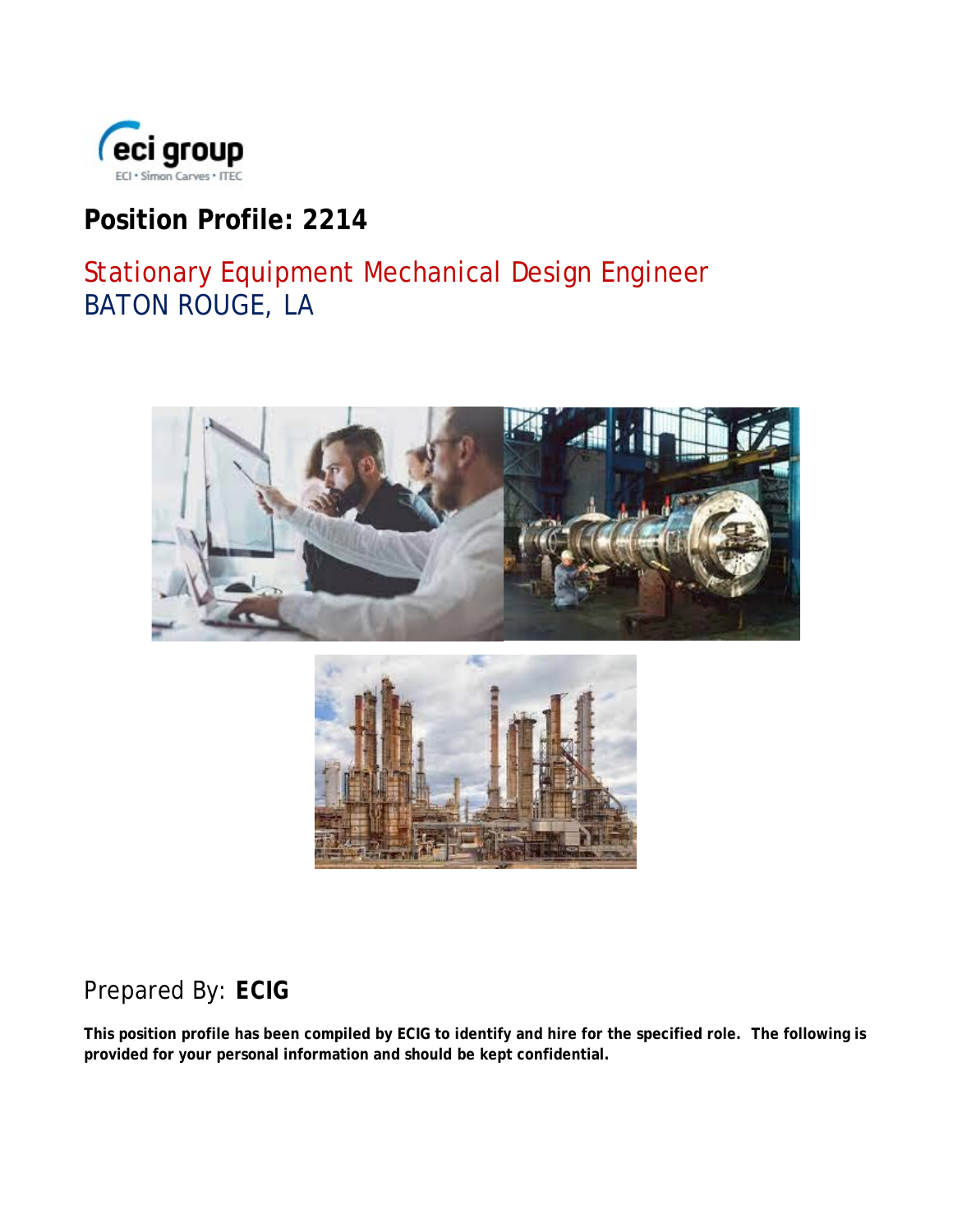

## **Position Profile: 2214**

# Stationary Equipment Mechanical Design Engineer BATON ROUGE, LA



## Prepared By: *ECIG*

**This position profile has been compiled by ECIG to identify and hire for the specified role. The following is provided for your personal information and should be kept confidential.**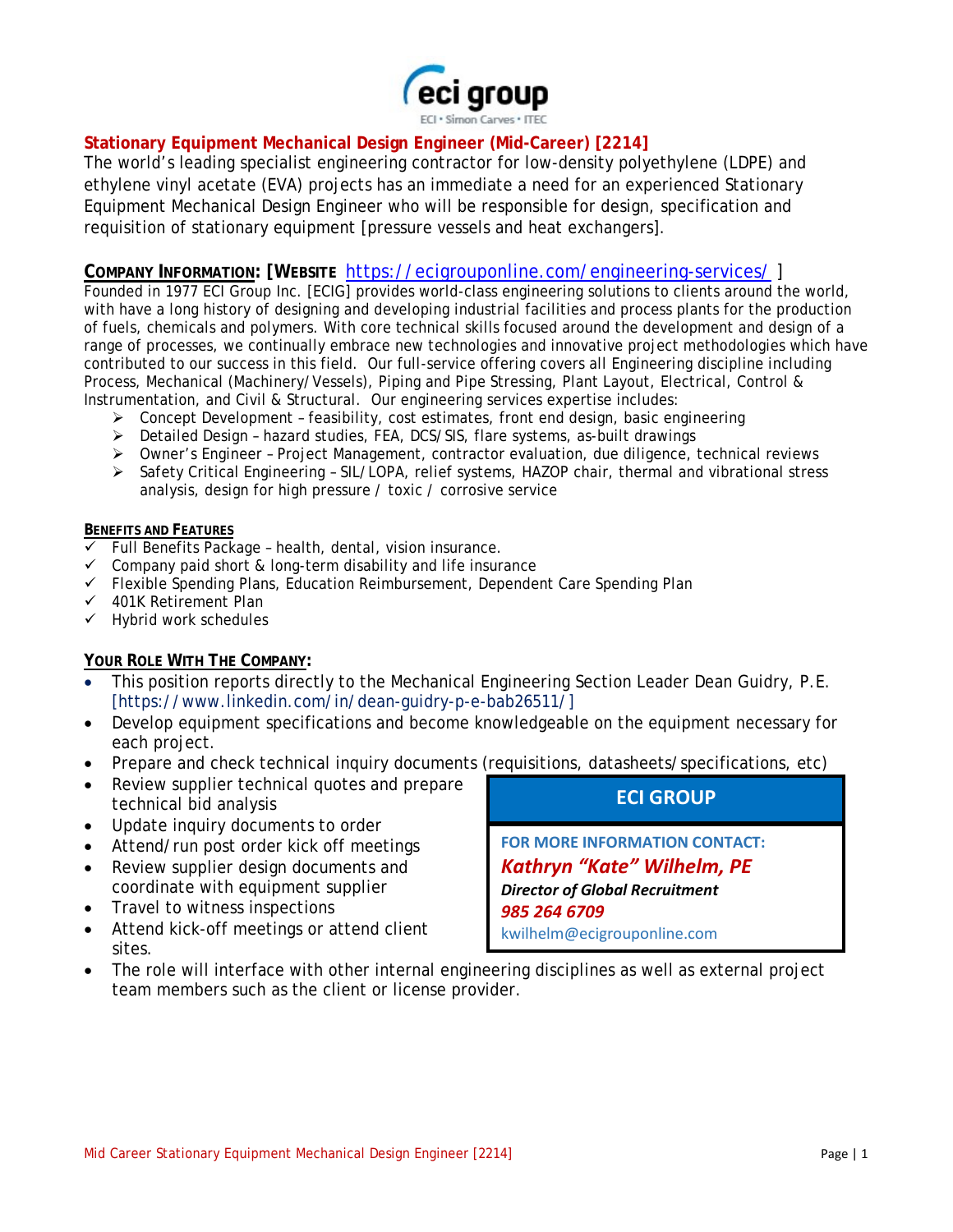

## **Stationary Equipment Mechanical Design Engineer (Mid-Career) [2214]**

The world's leading specialist engineering contractor for low-density polyethylene (LDPE) and ethylene vinyl acetate (EVA) projects has an immediate a need for an experienced Stationary Equipment Mechanical Design Engineer who will be responsible for design, specification and requisition of stationary equipment [pressure vessels and heat exchangers].

## **COMPANY INFORMATION: [WEBSITE** <https://ecigrouponline.com/engineering-services/> ]

Founded in 1977 ECI Group Inc. [ECIG] provides world-class engineering solutions to clients around the world, with have a long history of designing and developing industrial facilities and process plants for the production of fuels, chemicals and polymers. With core technical skills focused around the development and design of a range of processes, we continually embrace new technologies and innovative project methodologies which have contributed to our success in this field. Our full-service offering covers all Engineering discipline including Process, Mechanical (Machinery/Vessels), Piping and Pipe Stressing, Plant Layout, Electrical, Control & Instrumentation, and Civil & Structural. Our engineering services expertise includes:

- $\triangleright$  Concept Development feasibility, cost estimates, front end design, basic engineering
- Detailed Design hazard studies, FEA, DCS/SIS, flare systems, as-built drawings
- Owner's Engineer Project Management, contractor evaluation, due diligence, technical reviews
- $\triangleright$  Safety Critical Engineering SIL/LOPA, relief systems, HAZOP chair, thermal and vibrational stress analysis, design for high pressure / toxic / corrosive service

#### **BENEFITS AND FEATURES**

- $\checkmark$  Full Benefits Package health, dental, vision insurance.
- $\checkmark$  Company paid short & long-term disability and life insurance
- Flexible Spending Plans, Education Reimbursement, Dependent Care Spending Plan
- $\checkmark$  401K Retirement Plan
- $\checkmark$  Hybrid work schedules

### **YOUR ROLE WITH THE COMPANY:**

- This position reports directly to the Mechanical Engineering Section Leader Dean Guidry, P.E. [https://www.linkedin.com/in/dean-guidry-p-e-bab26511/]
- Develop equipment specifications and become knowledgeable on the equipment necessary for each project.
- Prepare and check technical inquiry documents (requisitions, datasheets/specifications, etc)
- Review supplier technical quotes and prepare technical bid analysis
- Update inquiry documents to order
- Attend/run post order kick off meetings
- Review supplier design documents and coordinate with equipment supplier
- Travel to witness inspections
- Attend kick-off meetings or attend client sites.
- The role will interface with other internal engineering disciplines as well as external project team members such as the client or license provider.

## **ECI GROUP**

**FOR MORE INFORMATION CONTACT:** *Kathryn "Kate" Wilhelm, PE Director of Global Recruitment 985 264 6709* kwilhelm@ecigrouponline.com